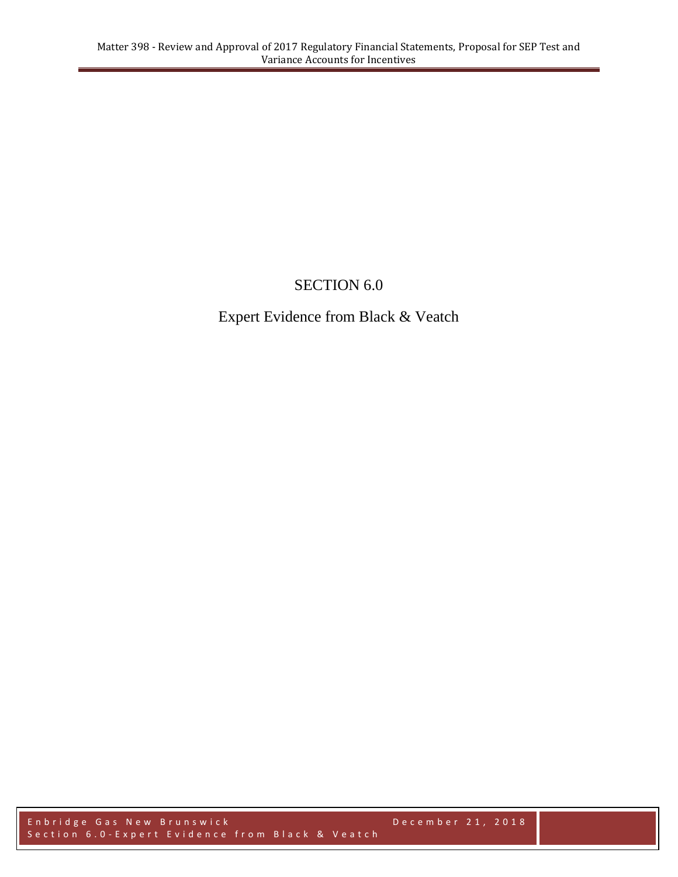## SECTION 6.0

Expert Evidence from Black & Veatch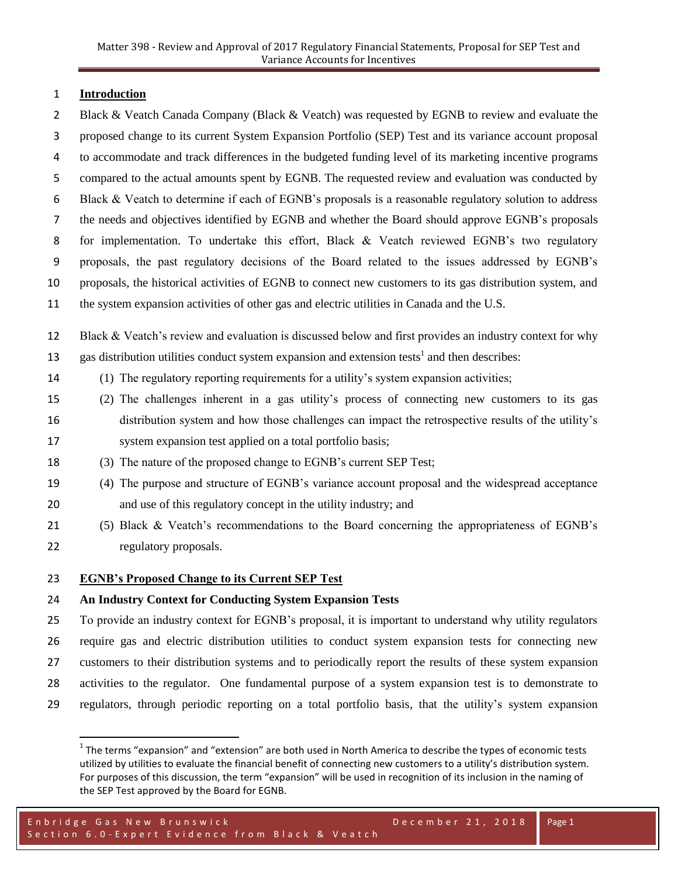#### **Introduction**

2 Black & Veatch Canada Company (Black & Veatch) was requested by EGNB to review and evaluate the proposed change to its current System Expansion Portfolio (SEP) Test and its variance account proposal to accommodate and track differences in the budgeted funding level of its marketing incentive programs compared to the actual amounts spent by EGNB. The requested review and evaluation was conducted by Black & Veatch to determine if each of EGNB's proposals is a reasonable regulatory solution to address the needs and objectives identified by EGNB and whether the Board should approve EGNB's proposals for implementation. To undertake this effort, Black & Veatch reviewed EGNB's two regulatory proposals, the past regulatory decisions of the Board related to the issues addressed by EGNB's proposals, the historical activities of EGNB to connect new customers to its gas distribution system, and the system expansion activities of other gas and electric utilities in Canada and the U.S. Black & Veatch's review and evaluation is discussed below and first provides an industry context for why 13 gas distribution utilities conduct system expansion and extension tests<sup>1</sup> and then describes: (1) The regulatory reporting requirements for a utility's system expansion activities;

- (2) The challenges inherent in a gas utility's process of connecting new customers to its gas distribution system and how those challenges can impact the retrospective results of the utility's system expansion test applied on a total portfolio basis;
- (3) The nature of the proposed change to EGNB's current SEP Test;
- (4) The purpose and structure of EGNB's variance account proposal and the widespread acceptance and use of this regulatory concept in the utility industry; and
- (5) Black & Veatch's recommendations to the Board concerning the appropriateness of EGNB's regulatory proposals.

### **EGNB's Proposed Change to its Current SEP Test**

 $\overline{a}$ 

## **An Industry Context for Conducting System Expansion Tests**

 To provide an industry context for EGNB's proposal, it is important to understand why utility regulators require gas and electric distribution utilities to conduct system expansion tests for connecting new customers to their distribution systems and to periodically report the results of these system expansion activities to the regulator. One fundamental purpose of a system expansion test is to demonstrate to regulators, through periodic reporting on a total portfolio basis, that the utility's system expansion

 The terms "expansion" and "extension" are both used in North America to describe the types of economic tests utilized by utilities to evaluate the financial benefit of connecting new customers to a utility's distribution system. For purposes of this discussion, the term "expansion" will be used in recognition of its inclusion in the naming of the SEP Test approved by the Board for EGNB.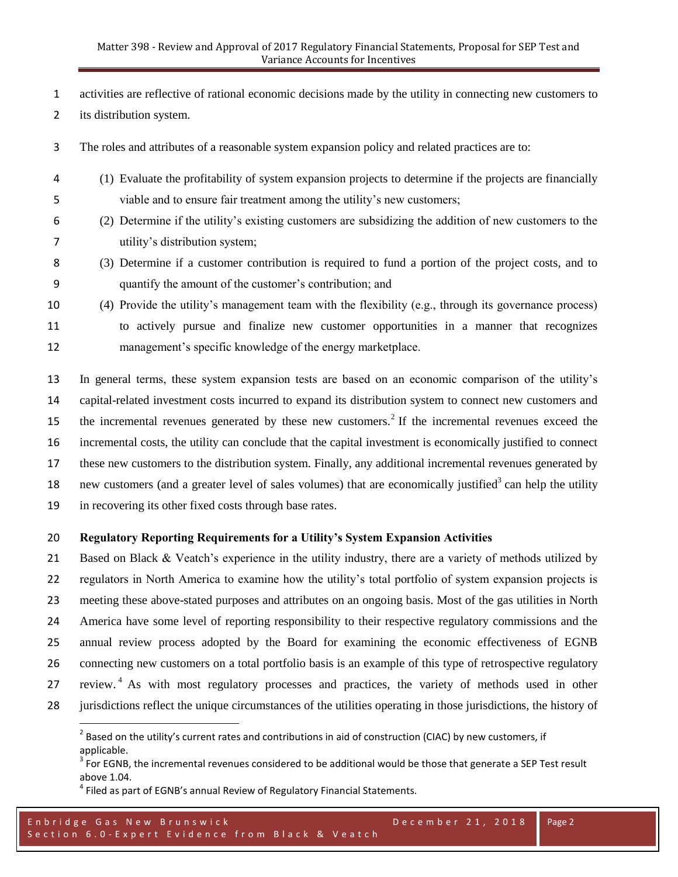activities are reflective of rational economic decisions made by the utility in connecting new customers to

its distribution system.

l

The roles and attributes of a reasonable system expansion policy and related practices are to:

- (1) Evaluate the profitability of system expansion projects to determine if the projects are financially viable and to ensure fair treatment among the utility's new customers;
- (2) Determine if the utility's existing customers are subsidizing the addition of new customers to the utility's distribution system;
- (3) Determine if a customer contribution is required to fund a portion of the project costs, and to quantify the amount of the customer's contribution; and
- (4) Provide the utility's management team with the flexibility (e.g., through its governance process) to actively pursue and finalize new customer opportunities in a manner that recognizes management's specific knowledge of the energy marketplace.

 In general terms, these system expansion tests are based on an economic comparison of the utility's capital-related investment costs incurred to expand its distribution system to connect new customers and 15 the incremental revenues generated by these new customers.<sup>2</sup> If the incremental revenues exceed the incremental costs, the utility can conclude that the capital investment is economically justified to connect these new customers to the distribution system. Finally, any additional incremental revenues generated by 18 new customers (and a greater level of sales volumes) that are economically justified<sup>3</sup> can help the utility in recovering its other fixed costs through base rates.

## **Regulatory Reporting Requirements for a Utility's System Expansion Activities**

21 Based on Black & Veatch's experience in the utility industry, there are a variety of methods utilized by regulators in North America to examine how the utility's total portfolio of system expansion projects is meeting these above-stated purposes and attributes on an ongoing basis. Most of the gas utilities in North America have some level of reporting responsibility to their respective regulatory commissions and the annual review process adopted by the Board for examining the economic effectiveness of EGNB connecting new customers on a total portfolio basis is an example of this type of retrospective regulatory 27 review.<sup>4</sup> As with most regulatory processes and practices, the variety of methods used in other jurisdictions reflect the unique circumstances of the utilities operating in those jurisdictions, the history of

 $^2$  Based on the utility's current rates and contributions in aid of construction (CIAC) by new customers, if applicable.

 For EGNB, the incremental revenues considered to be additional would be those that generate a SEP Test result above 1.04.

 $<sup>4</sup>$  Filed as part of EGNB's annual Review of Regulatory Financial Statements.</sup>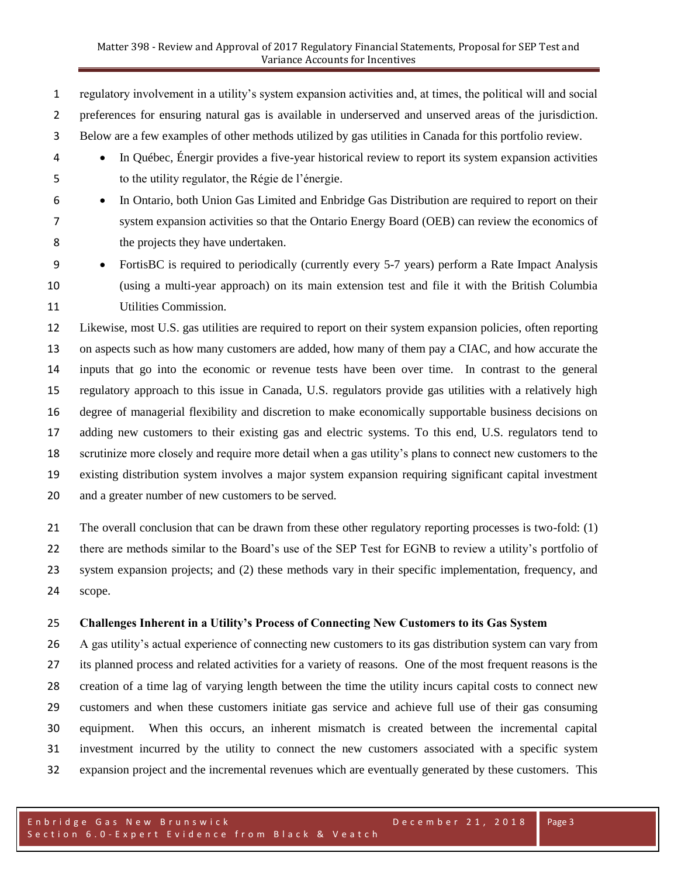regulatory involvement in a utility's system expansion activities and, at times, the political will and social preferences for ensuring natural gas is available in underserved and unserved areas of the jurisdiction. Below are a few examples of other methods utilized by gas utilities in Canada for this portfolio review.

 In Québec, Énergir provides a five-year historical review to report its system expansion activities to the utility regulator, the Régie de l'énergie.

# In Ontario, both Union Gas Limited and Enbridge Gas Distribution are required to report on their system expansion activities so that the Ontario Energy Board (OEB) can review the economics of the projects they have undertaken.

 FortisBC is required to periodically (currently every 5-7 years) perform a Rate Impact Analysis (using a multi-year approach) on its main extension test and file it with the British Columbia Utilities Commission.

 Likewise, most U.S. gas utilities are required to report on their system expansion policies, often reporting on aspects such as how many customers are added, how many of them pay a CIAC, and how accurate the inputs that go into the economic or revenue tests have been over time. In contrast to the general regulatory approach to this issue in Canada, U.S. regulators provide gas utilities with a relatively high degree of managerial flexibility and discretion to make economically supportable business decisions on adding new customers to their existing gas and electric systems. To this end, U.S. regulators tend to scrutinize more closely and require more detail when a gas utility's plans to connect new customers to the existing distribution system involves a major system expansion requiring significant capital investment and a greater number of new customers to be served.

 The overall conclusion that can be drawn from these other regulatory reporting processes is two-fold: (1) there are methods similar to the Board's use of the SEP Test for EGNB to review a utility's portfolio of system expansion projects; and (2) these methods vary in their specific implementation, frequency, and scope.

#### **Challenges Inherent in a Utility's Process of Connecting New Customers to its Gas System**

 A gas utility's actual experience of connecting new customers to its gas distribution system can vary from its planned process and related activities for a variety of reasons. One of the most frequent reasons is the creation of a time lag of varying length between the time the utility incurs capital costs to connect new customers and when these customers initiate gas service and achieve full use of their gas consuming equipment. When this occurs, an inherent mismatch is created between the incremental capital investment incurred by the utility to connect the new customers associated with a specific system expansion project and the incremental revenues which are eventually generated by these customers. This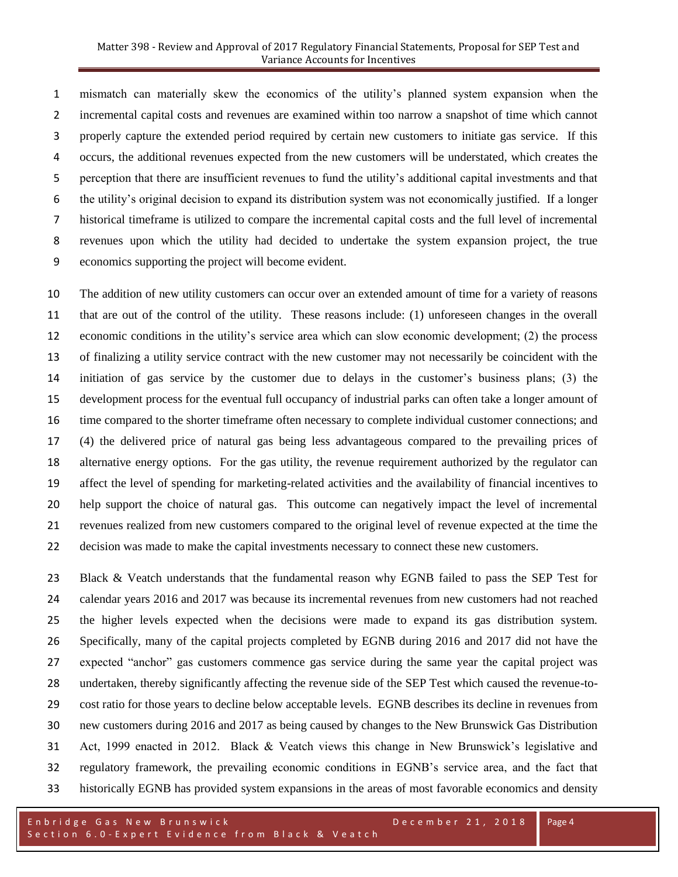mismatch can materially skew the economics of the utility's planned system expansion when the incremental capital costs and revenues are examined within too narrow a snapshot of time which cannot properly capture the extended period required by certain new customers to initiate gas service. If this occurs, the additional revenues expected from the new customers will be understated, which creates the perception that there are insufficient revenues to fund the utility's additional capital investments and that the utility's original decision to expand its distribution system was not economically justified. If a longer historical timeframe is utilized to compare the incremental capital costs and the full level of incremental revenues upon which the utility had decided to undertake the system expansion project, the true economics supporting the project will become evident.

 The addition of new utility customers can occur over an extended amount of time for a variety of reasons that are out of the control of the utility. These reasons include: (1) unforeseen changes in the overall economic conditions in the utility's service area which can slow economic development; (2) the process of finalizing a utility service contract with the new customer may not necessarily be coincident with the initiation of gas service by the customer due to delays in the customer's business plans; (3) the development process for the eventual full occupancy of industrial parks can often take a longer amount of time compared to the shorter timeframe often necessary to complete individual customer connections; and (4) the delivered price of natural gas being less advantageous compared to the prevailing prices of alternative energy options. For the gas utility, the revenue requirement authorized by the regulator can affect the level of spending for marketing-related activities and the availability of financial incentives to help support the choice of natural gas. This outcome can negatively impact the level of incremental revenues realized from new customers compared to the original level of revenue expected at the time the decision was made to make the capital investments necessary to connect these new customers.

 Black & Veatch understands that the fundamental reason why EGNB failed to pass the SEP Test for calendar years 2016 and 2017 was because its incremental revenues from new customers had not reached the higher levels expected when the decisions were made to expand its gas distribution system. Specifically, many of the capital projects completed by EGNB during 2016 and 2017 did not have the expected "anchor" gas customers commence gas service during the same year the capital project was undertaken, thereby significantly affecting the revenue side of the SEP Test which caused the revenue-to- cost ratio for those years to decline below acceptable levels. EGNB describes its decline in revenues from new customers during 2016 and 2017 as being caused by changes to the New Brunswick Gas Distribution Act, 1999 enacted in 2012. Black & Veatch views this change in New Brunswick's legislative and regulatory framework, the prevailing economic conditions in EGNB's service area, and the fact that historically EGNB has provided system expansions in the areas of most favorable economics and density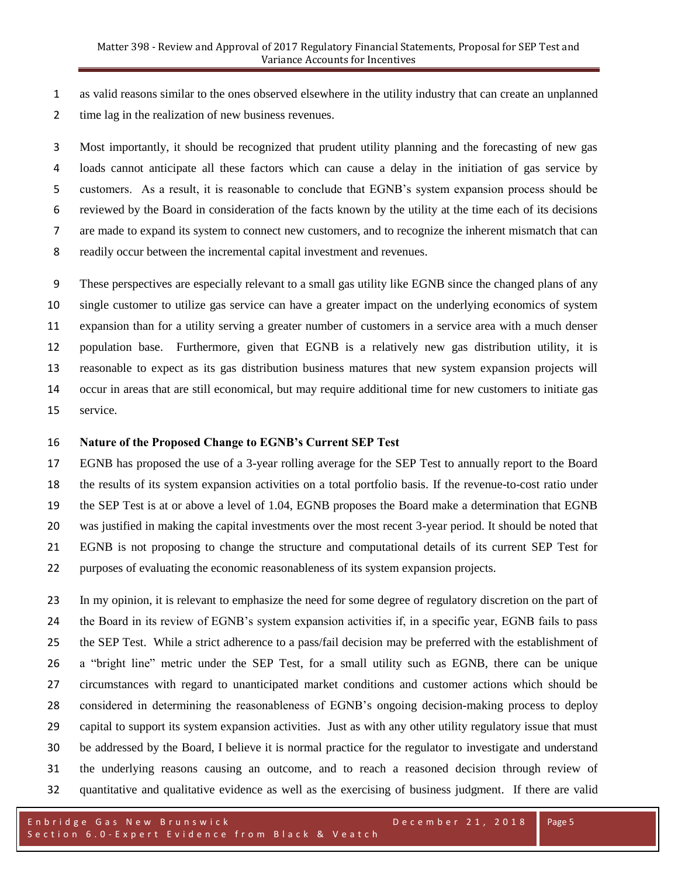as valid reasons similar to the ones observed elsewhere in the utility industry that can create an unplanned time lag in the realization of new business revenues.

 Most importantly, it should be recognized that prudent utility planning and the forecasting of new gas loads cannot anticipate all these factors which can cause a delay in the initiation of gas service by customers. As a result, it is reasonable to conclude that EGNB's system expansion process should be reviewed by the Board in consideration of the facts known by the utility at the time each of its decisions are made to expand its system to connect new customers, and to recognize the inherent mismatch that can readily occur between the incremental capital investment and revenues.

 These perspectives are especially relevant to a small gas utility like EGNB since the changed plans of any single customer to utilize gas service can have a greater impact on the underlying economics of system expansion than for a utility serving a greater number of customers in a service area with a much denser population base. Furthermore, given that EGNB is a relatively new gas distribution utility, it is reasonable to expect as its gas distribution business matures that new system expansion projects will occur in areas that are still economical, but may require additional time for new customers to initiate gas service.

#### **Nature of the Proposed Change to EGNB's Current SEP Test**

 EGNB has proposed the use of a 3-year rolling average for the SEP Test to annually report to the Board the results of its system expansion activities on a total portfolio basis. If the revenue-to-cost ratio under the SEP Test is at or above a level of 1.04, EGNB proposes the Board make a determination that EGNB was justified in making the capital investments over the most recent 3-year period. It should be noted that EGNB is not proposing to change the structure and computational details of its current SEP Test for purposes of evaluating the economic reasonableness of its system expansion projects.

 In my opinion, it is relevant to emphasize the need for some degree of regulatory discretion on the part of the Board in its review of EGNB's system expansion activities if, in a specific year, EGNB fails to pass the SEP Test. While a strict adherence to a pass/fail decision may be preferred with the establishment of a "bright line" metric under the SEP Test, for a small utility such as EGNB, there can be unique circumstances with regard to unanticipated market conditions and customer actions which should be considered in determining the reasonableness of EGNB's ongoing decision-making process to deploy capital to support its system expansion activities. Just as with any other utility regulatory issue that must be addressed by the Board, I believe it is normal practice for the regulator to investigate and understand the underlying reasons causing an outcome, and to reach a reasoned decision through review of quantitative and qualitative evidence as well as the exercising of business judgment. If there are valid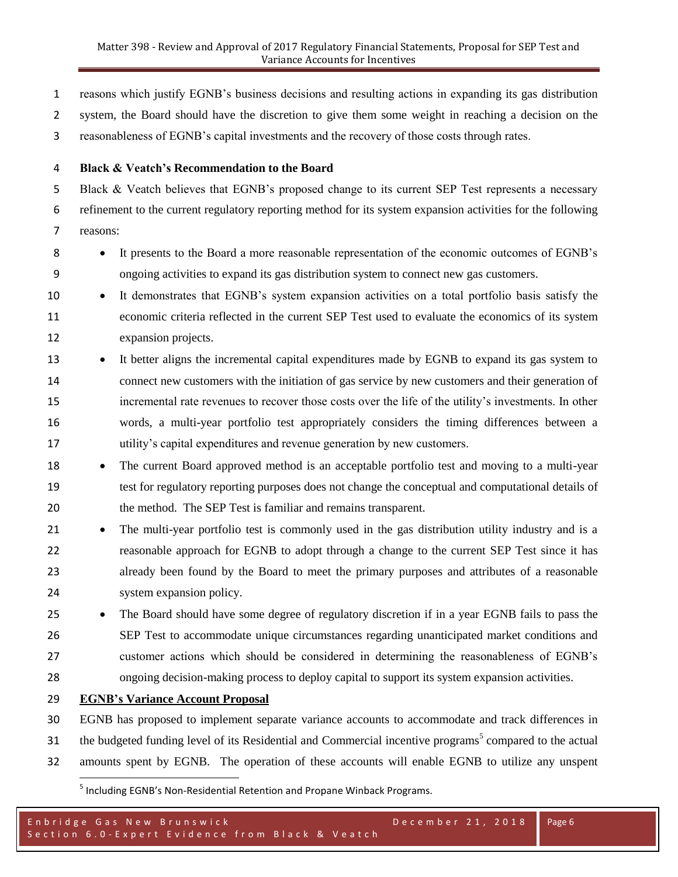reasons which justify EGNB's business decisions and resulting actions in expanding its gas distribution

system, the Board should have the discretion to give them some weight in reaching a decision on the

reasonableness of EGNB's capital investments and the recovery of those costs through rates.

**Black & Veatch's Recommendation to the Board**

5 Black & Veatch believes that EGNB's proposed change to its current SEP Test represents a necessary refinement to the current regulatory reporting method for its system expansion activities for the following reasons:

- **I** It presents to the Board a more reasonable representation of the economic outcomes of EGNB's ongoing activities to expand its gas distribution system to connect new gas customers.
- It demonstrates that EGNB's system expansion activities on a total portfolio basis satisfy the economic criteria reflected in the current SEP Test used to evaluate the economics of its system expansion projects.
- 13 It better aligns the incremental capital expenditures made by EGNB to expand its gas system to connect new customers with the initiation of gas service by new customers and their generation of incremental rate revenues to recover those costs over the life of the utility's investments. In other words, a multi-year portfolio test appropriately considers the timing differences between a utility's capital expenditures and revenue generation by new customers.
- 18 The current Board approved method is an acceptable portfolio test and moving to a multi-year test for regulatory reporting purposes does not change the conceptual and computational details of the method. The SEP Test is familiar and remains transparent.
- 21 The multi-year portfolio test is commonly used in the gas distribution utility industry and is a reasonable approach for EGNB to adopt through a change to the current SEP Test since it has already been found by the Board to meet the primary purposes and attributes of a reasonable system expansion policy.
- 25 The Board should have some degree of regulatory discretion if in a year EGNB fails to pass the SEP Test to accommodate unique circumstances regarding unanticipated market conditions and customer actions which should be considered in determining the reasonableness of EGNB's ongoing decision-making process to deploy capital to support its system expansion activities.
- **EGNB's Variance Account Proposal**

 EGNB has proposed to implement separate variance accounts to accommodate and track differences in 31 the budgeted funding level of its Residential and Commercial incentive programs<sup>5</sup> compared to the actual amounts spent by EGNB. The operation of these accounts will enable EGNB to utilize any unspent  $\overline{\phantom{a}}$ 

<sup>&</sup>lt;sup>5</sup> Including EGNB's Non-Residential Retention and Propane Winback Programs.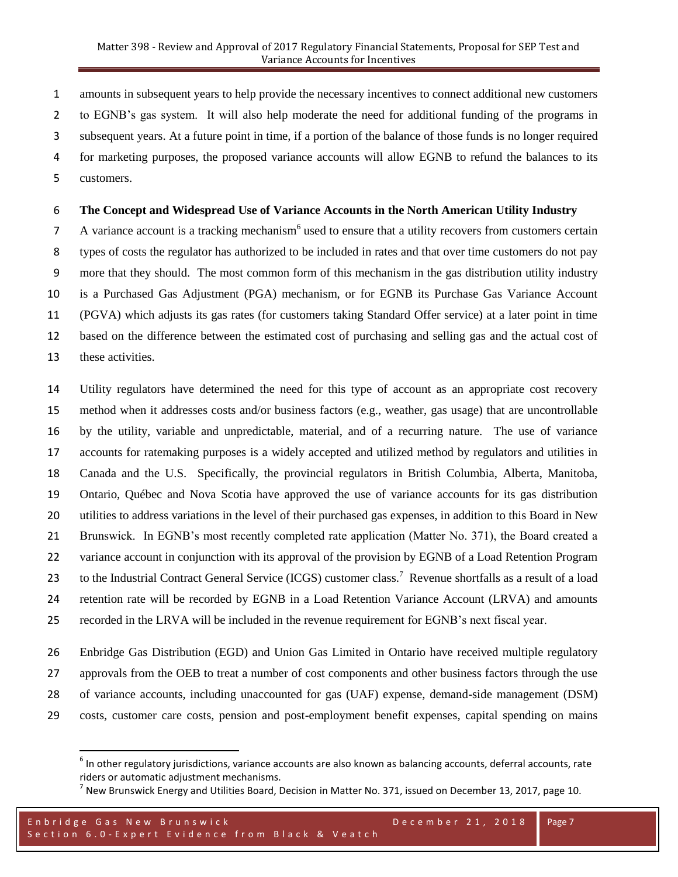#### Matter 398 - Review and Approval of 2017 Regulatory Financial Statements, Proposal for SEP Test and Variance Accounts for Incentives

 amounts in subsequent years to help provide the necessary incentives to connect additional new customers to EGNB's gas system. It will also help moderate the need for additional funding of the programs in subsequent years. At a future point in time, if a portion of the balance of those funds is no longer required for marketing purposes, the proposed variance accounts will allow EGNB to refund the balances to its customers.

#### **The Concept and Widespread Use of Variance Accounts in the North American Utility Industry**

7 A variance account is a tracking mechanism<sup>6</sup> used to ensure that a utility recovers from customers certain types of costs the regulator has authorized to be included in rates and that over time customers do not pay more that they should. The most common form of this mechanism in the gas distribution utility industry is a Purchased Gas Adjustment (PGA) mechanism, or for EGNB its Purchase Gas Variance Account (PGVA) which adjusts its gas rates (for customers taking Standard Offer service) at a later point in time based on the difference between the estimated cost of purchasing and selling gas and the actual cost of these activities.

 Utility regulators have determined the need for this type of account as an appropriate cost recovery method when it addresses costs and/or business factors (e.g., weather, gas usage) that are uncontrollable by the utility, variable and unpredictable, material, and of a recurring nature. The use of variance accounts for ratemaking purposes is a widely accepted and utilized method by regulators and utilities in Canada and the U.S. Specifically, the provincial regulators in British Columbia, Alberta, Manitoba, Ontario, Québec and Nova Scotia have approved the use of variance accounts for its gas distribution utilities to address variations in the level of their purchased gas expenses, in addition to this Board in New Brunswick. In EGNB's most recently completed rate application (Matter No. 371), the Board created a variance account in conjunction with its approval of the provision by EGNB of a Load Retention Program 23 to the Industrial Contract General Service (ICGS) customer class.<sup>7</sup> Revenue shortfalls as a result of a load retention rate will be recorded by EGNB in a Load Retention Variance Account (LRVA) and amounts recorded in the LRVA will be included in the revenue requirement for EGNB's next fiscal year.

 Enbridge Gas Distribution (EGD) and Union Gas Limited in Ontario have received multiple regulatory approvals from the OEB to treat a number of cost components and other business factors through the use of variance accounts, including unaccounted for gas (UAF) expense, demand-side management (DSM)

costs, customer care costs, pension and post-employment benefit expenses, capital spending on mains

 $\overline{\phantom{a}}$ 

 $^6$  In other regulatory jurisdictions, variance accounts are also known as balancing accounts, deferral accounts, rate riders or automatic adjustment mechanisms.

 $^7$  New Brunswick Energy and Utilities Board, Decision in Matter No. 371, issued on December 13, 2017, page 10.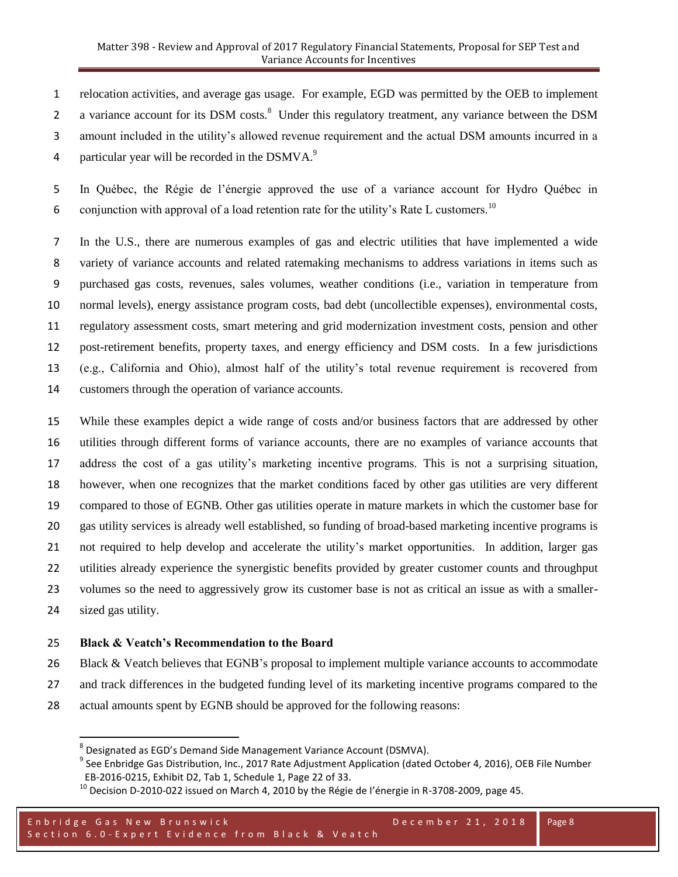relocation activities, and average gas usage. For example, EGD was permitted by the OEB to implement 2 a variance account for its DSM costs.<sup>8</sup> Under this regulatory treatment, any variance between the DSM amount included in the utility's allowed revenue requirement and the actual DSM amounts incurred in a 4 particular year will be recorded in the DSMVA.

 In Québec, the Régie de l'énergie approved the use of a variance account for Hydro Québec in 6 conjunction with approval of a load retention rate for the utility's Rate L customers.<sup>10</sup>

 In the U.S., there are numerous examples of gas and electric utilities that have implemented a wide variety of variance accounts and related ratemaking mechanisms to address variations in items such as purchased gas costs, revenues, sales volumes, weather conditions (i.e., variation in temperature from normal levels), energy assistance program costs, bad debt (uncollectible expenses), environmental costs, regulatory assessment costs, smart metering and grid modernization investment costs, pension and other post-retirement benefits, property taxes, and energy efficiency and DSM costs. In a few jurisdictions (e.g., California and Ohio), almost half of the utility's total revenue requirement is recovered from customers through the operation of variance accounts.

 While these examples depict a wide range of costs and/or business factors that are addressed by other utilities through different forms of variance accounts, there are no examples of variance accounts that address the cost of a gas utility's marketing incentive programs. This is not a surprising situation, however, when one recognizes that the market conditions faced by other gas utilities are very different compared to those of EGNB. Other gas utilities operate in mature markets in which the customer base for gas utility services is already well established, so funding of broad-based marketing incentive programs is not required to help develop and accelerate the utility's market opportunities. In addition, larger gas utilities already experience the synergistic benefits provided by greater customer counts and throughput volumes so the need to aggressively grow its customer base is not as critical an issue as with a smaller-sized gas utility.

#### **Black & Veatch's Recommendation to the Board**

 $\overline{a}$ 

- Black & Veatch believes that EGNB's proposal to implement multiple variance accounts to accommodate and track differences in the budgeted funding level of its marketing incentive programs compared to the
- actual amounts spent by EGNB should be approved for the following reasons:

<sup>&</sup>lt;sup>8</sup> Designated as EGD's Demand Side Management Variance Account (DSMVA).

<sup>&</sup>lt;sup>9</sup> See Enbridge Gas Distribution, Inc., 2017 Rate Adjustment Application (dated October 4, 2016), OEB File Number EB-2016-0215, Exhibit D2, Tab 1, Schedule 1, Page 22 of 33.

 $^{10}$  Decision D-2010-022 issued on March 4, 2010 by the Régie de l'énergie in R-3708-2009, page 45.